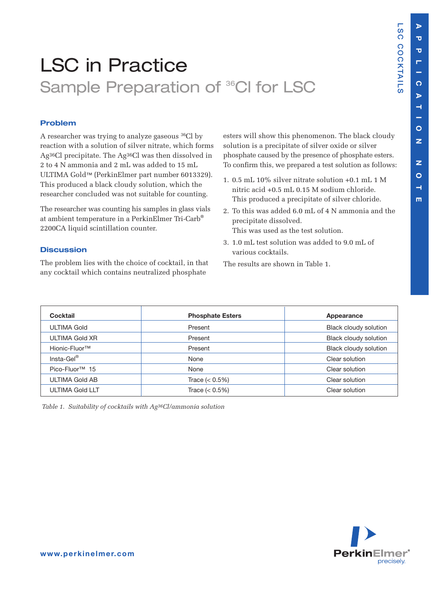**L S C**

**C O C**

**K T AIL S**

# LSC in Practice Sample Preparation of <sup>36</sup>CI for LSC

# **Problem**

A researcher was trying to analyze gaseous 36Cl by reaction with a solution of silver nitrate, which forms Ag36Cl precipitate. The Ag36Cl was then dissolved in 2 to 4 N ammonia and 2 mL was added to 15 mL ULTIMA Gold™ (PerkinElmer part number 6013329). This produced a black cloudy solution, which the researcher concluded was not suitable for counting.

The researcher was counting his samples in glass vials at ambient temperature in a PerkinElmer Tri-Carb® 2200CA liquid scintillation counter.

## **Discussion**

The problem lies with the choice of cocktail, in that any cocktail which contains neutralized phosphate

esters will show this phenomenon. The black cloudy solution is a precipitate of silver oxide or silver phosphate caused by the presence of phosphate esters. To confirm this, we prepared a test solution as follows:

- 1. 0.5 mL 10% silver nitrate solution +0.1 mL 1 M nitric acid +0.5 mL 0.15 M sodium chloride. This produced a precipitate of silver chloride.
- 2. To this was added 6.0 mL of 4 N ammonia and the precipitate dissolved. This was used as the test solution.
- 3. 1.0 mL test solution was added to 9.0 mL of various cocktails.

The results are shown in Table 1.

| Cocktail                   | <b>Phosphate Esters</b> | Appearance            |  |
|----------------------------|-------------------------|-----------------------|--|
| <b>ULTIMA Gold</b>         | Present                 | Black cloudy solution |  |
| ULTIMA Gold XR             | Present                 | Black cloudy solution |  |
| Hionic-Fluor <sup>™</sup>  | Present                 | Black cloudy solution |  |
| Insta-Gel®                 | None                    | Clear solution        |  |
| Pico-Fluor <sup>™</sup> 15 | None                    | Clear solution        |  |
| <b>ULTIMA Gold AB</b>      | Trace $(< 0.5\%)$       | Clear solution        |  |
| <b>ULTIMA Gold LLT</b>     | Trace $(< 0.5\%)$       | Clear solution        |  |

*Table 1*. *Suitability of cocktails with Ag36Cl/ammonia solution*